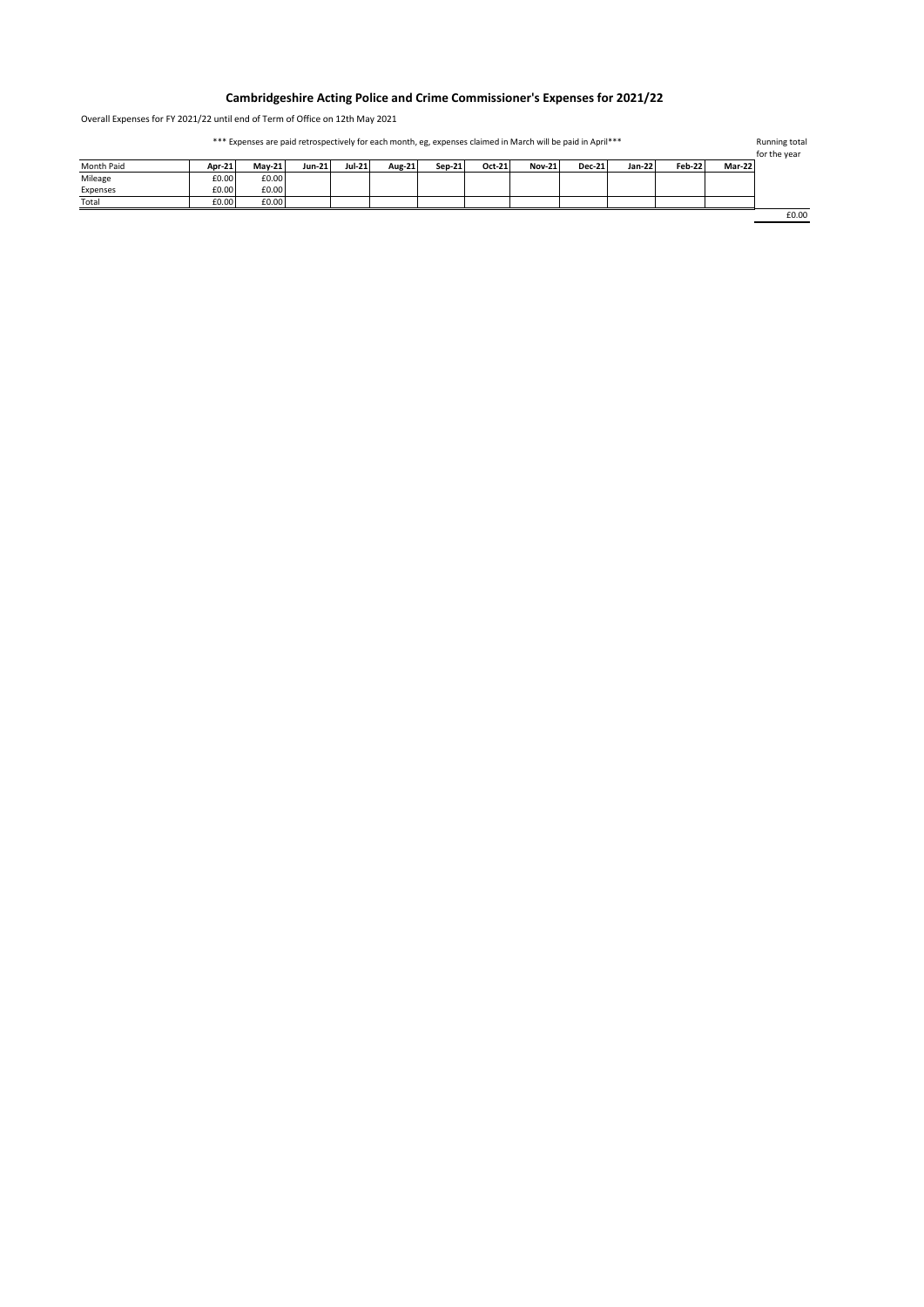## **Cambridgeshire Acting Police and Crime Commissioner's Expenses for 2021/22**

Overall Expenses for FY 2021/22 until end of Term of Office on 12th May 2021

| *** Expenses are paid retrospectively for each month, eg, expenses claimed in March will be paid in April*** |        |               |               |        |        |        |        |               |               | Running total<br>for the year |        |        |       |
|--------------------------------------------------------------------------------------------------------------|--------|---------------|---------------|--------|--------|--------|--------|---------------|---------------|-------------------------------|--------|--------|-------|
| Month Paid                                                                                                   | Apr-21 | <b>Mav-21</b> | <b>Jun-21</b> | Jul-21 | Aug-21 | Sep-21 | Oct-21 | <b>Nov-21</b> | <b>Dec-21</b> | <b>Jan-22</b>                 | Feb-22 | Mar-22 |       |
| Mileage                                                                                                      | £0.00  | £0.00         |               |        |        |        |        |               |               |                               |        |        |       |
| Expenses                                                                                                     | £0.00  | £0.00         |               |        |        |        |        |               |               |                               |        |        |       |
| Total                                                                                                        | £0.00  | £0.00         |               |        |        |        |        |               |               |                               |        |        |       |
|                                                                                                              |        |               |               |        |        |        |        |               |               |                               |        |        | £0.00 |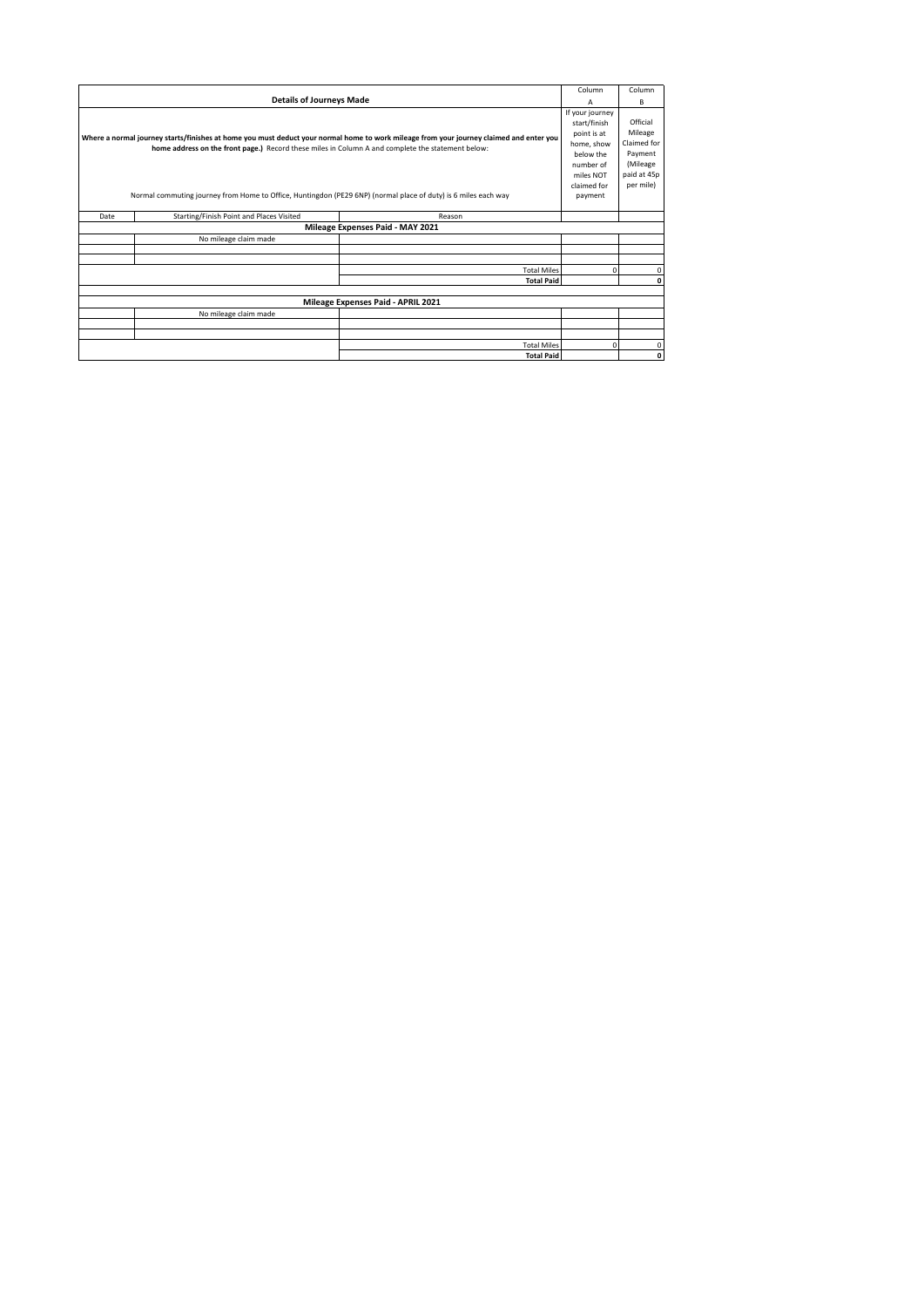|                                                                                                                                         |                                          |                                  | Column          | Column       |  |  |  |
|-----------------------------------------------------------------------------------------------------------------------------------------|------------------------------------------|----------------------------------|-----------------|--------------|--|--|--|
|                                                                                                                                         | А                                        | В                                |                 |              |  |  |  |
|                                                                                                                                         |                                          |                                  | If your journey |              |  |  |  |
|                                                                                                                                         | start/finish                             | Official                         |                 |              |  |  |  |
| Where a normal journey starts/finishes at home you must deduct your normal home to work mileage from your journey claimed and enter you | point is at                              | Mileage                          |                 |              |  |  |  |
|                                                                                                                                         | home, show                               | Claimed for                      |                 |              |  |  |  |
| home address on the front page.) Record these miles in Column A and complete the statement below:                                       |                                          |                                  |                 | Payment      |  |  |  |
|                                                                                                                                         |                                          |                                  |                 | (Mileage     |  |  |  |
|                                                                                                                                         |                                          |                                  |                 | paid at 45p  |  |  |  |
|                                                                                                                                         | claimed for                              | per mile)                        |                 |              |  |  |  |
| Normal commuting journey from Home to Office, Huntingdon (PE29 6NP) (normal place of duty) is 6 miles each way                          | payment                                  |                                  |                 |              |  |  |  |
|                                                                                                                                         |                                          |                                  |                 |              |  |  |  |
| Date                                                                                                                                    | Starting/Finish Point and Places Visited | Reason                           |                 |              |  |  |  |
|                                                                                                                                         |                                          | Mileage Expenses Paid - MAY 2021 |                 |              |  |  |  |
|                                                                                                                                         | No mileage claim made                    |                                  |                 |              |  |  |  |
|                                                                                                                                         |                                          |                                  |                 |              |  |  |  |
|                                                                                                                                         |                                          |                                  |                 |              |  |  |  |
|                                                                                                                                         |                                          | <b>Total Miles</b>               | 0               | $\mathbf{0}$ |  |  |  |
|                                                                                                                                         |                                          | $\mathbf 0$                      |                 |              |  |  |  |
|                                                                                                                                         |                                          |                                  |                 |              |  |  |  |
| Mileage Expenses Paid - APRIL 2021                                                                                                      |                                          |                                  |                 |              |  |  |  |
|                                                                                                                                         | No mileage claim made                    |                                  |                 |              |  |  |  |
|                                                                                                                                         |                                          |                                  |                 |              |  |  |  |
|                                                                                                                                         |                                          |                                  |                 |              |  |  |  |
|                                                                                                                                         |                                          | <b>Total Miles</b>               | 0               | $\mathbf 0$  |  |  |  |
|                                                                                                                                         |                                          | <b>Total Paid</b>                |                 | $\mathbf 0$  |  |  |  |